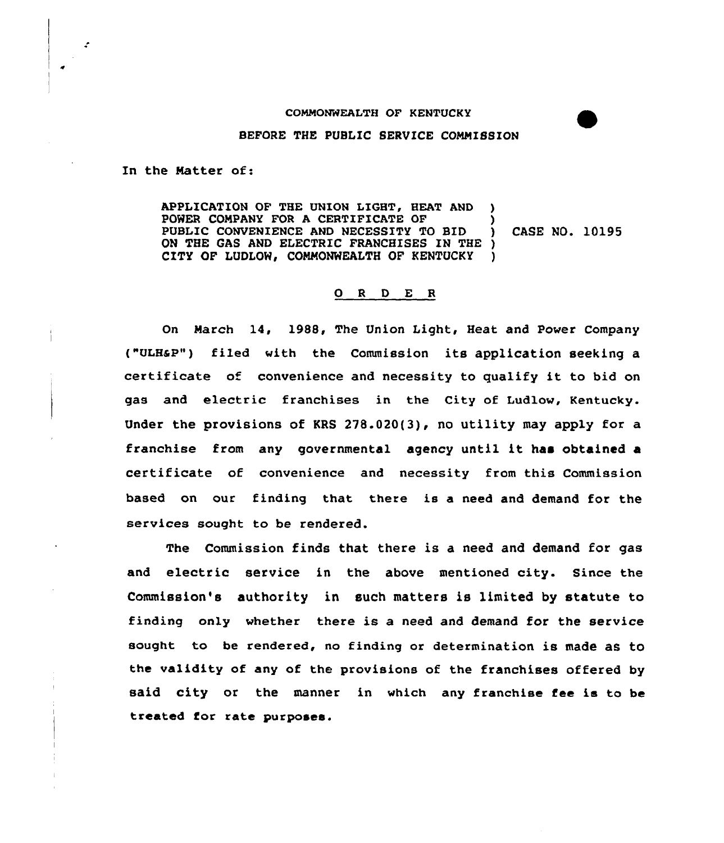## COMMONWEALTH OF KENTUCKY

## BEFORE THE PUBLIC SERVICE COMMISSION

In the Natter of:

APPLICATION OF THE UNION LIGHT, HEAT AND POWER COMPANY FOR A CERTIFICATE OF (3)<br>PUBLIC CONVENIENCE AND NECESSITY TO BID (3) CASE NO. 10195 PUBLIC CONVENIENCE AND NECESSITY TO BID ON THE GAS AND ELECTRIC FRANCHISES IN THE ) CITY OF LUDLOW, COMMONWEALTH OF KENTUCKY )

## 0 <sup>R</sup> <sup>D</sup> E R

On March 14, 1988, The Union Light, Heat, and Power Company ("ULHGP") filed with the Commission its application seeking a certificate of convenience and necessity to qualify it to bid on gas and electric franchises in the City of Ludlow, Kentucky. Under the provisions of KRS 278.020(3), no utility may apply for a franchise from any governmental agency until it has obtained <sup>a</sup> certificate of convenience and necessity from this Commission based on our finding that there is a need and demand for the services sought to be rendered.

The Commission finds that there is a need and demand for gas and electric service in the above mentioned city. Since the Commission's authority in such matters is limited by statute to finding only whether there is a need and demand for the service sought to be rendered, no finding or determination is made as to the validity of any of the provisions of the franchises offered by said city or the manner in which any franchise fee is to be treated for rate purposes.